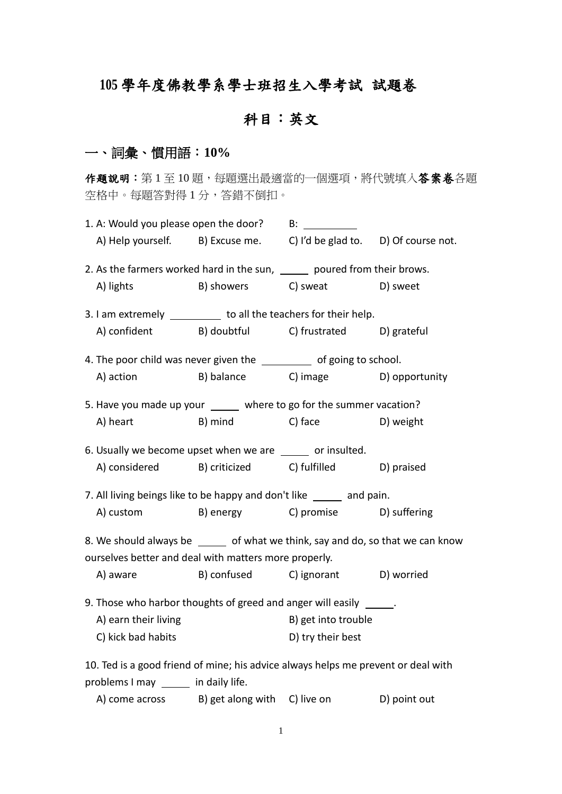# **105** 學年度佛教學系學士班招生入學考試 試題卷

# 科目:英文

## 一、詞彙、慣用語:**10%**

作題說明:第1至10題,每題選出最適當的一個選項,將代號填入答案卷各題 空格中。每題答對得 1 分,答錯不倒扣。

| A) Help yourself. B) Excuse me. C) I'd be glad to. D) Of course not.              |                              |                                    |  |  |  |
|-----------------------------------------------------------------------------------|------------------------------|------------------------------------|--|--|--|
| 2. As the farmers worked hard in the sun, ______ poured from their brows.         |                              |                                    |  |  |  |
| A) lights                                                                         | B) showers C) sweat D) sweet |                                    |  |  |  |
| 3. I am extremely ___________ to all the teachers for their help.                 |                              |                                    |  |  |  |
| A) confident B) doubtful C) frustrated D) grateful                                |                              |                                    |  |  |  |
| 4. The poor child was never given the ___________ of going to school.             |                              |                                    |  |  |  |
| A) action                                                                         |                              | B) balance C) image D) opportunity |  |  |  |
| 5. Have you made up your _____ where to go for the summer vacation?               |                              |                                    |  |  |  |
| A) heart                                                                          | B) mind C) face              | D) weight                          |  |  |  |
| 6. Usually we become upset when we are _____ or insulted.                         |                              |                                    |  |  |  |
| A) considered B) criticized C) fulfilled D) praised                               |                              |                                    |  |  |  |
| 7. All living beings like to be happy and don't like _____ and pain.              |                              |                                    |  |  |  |
| A) custom B) energy C) promise D) suffering                                       |                              |                                    |  |  |  |
| 8. We should always be ______ of what we think, say and do, so that we can know   |                              |                                    |  |  |  |
| ourselves better and deal with matters more properly.                             |                              |                                    |  |  |  |
| A) aware                                                                          |                              | B) confused C) ignorant D) worried |  |  |  |
| 9. Those who harbor thoughts of greed and anger will easily ______.               |                              |                                    |  |  |  |
| A) earn their living                                                              |                              | B) get into trouble                |  |  |  |
| C) kick bad habits                                                                |                              | D) try their best                  |  |  |  |
| 10. Ted is a good friend of mine; his advice always helps me prevent or deal with |                              |                                    |  |  |  |
| problems I may _____ in daily life.                                               |                              |                                    |  |  |  |

| A) come across | B) get along with C) live on |  | D) point out |
|----------------|------------------------------|--|--------------|
|----------------|------------------------------|--|--------------|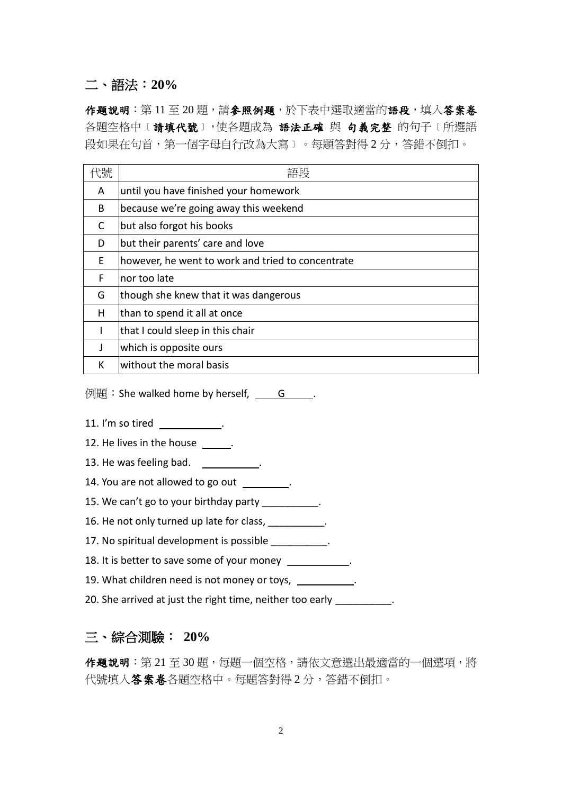### 二、語法:**20%**

作題說明:第11至20題,請參照例題,於下表中選取適當的語段,填入答案卷 各題空格中〔請填代號〕,使各題成為 語法正確 與 句義完整 的句子〔所選語 段如果在句首,第一個字母自行改為大寫﹞。每題答對得 2 分,答錯不倒扣。

| 代號 | 語段                                                |
|----|---------------------------------------------------|
| A  | until you have finished your homework             |
| B  | because we're going away this weekend             |
| C  | but also forgot his books                         |
| D  | but their parents' care and love                  |
| F. | however, he went to work and tried to concentrate |
| F  | nor too late                                      |
| G  | though she knew that it was dangerous             |
| Н  | than to spend it all at once                      |
| L  | that I could sleep in this chair                  |
| J  | which is opposite ours                            |
| К  | without the moral basis                           |

例題:She walked home by herself,  $\qquad$  G  $\qquad$ 

- 11. I'm so tired .
- 12. He lives in the house  $\qquad \qquad$ .
- 13. He was feeling bad.  $\qquad \qquad$ .
- 14. You are not allowed to go out .
- 15. We can't go to your birthday party \_\_\_\_\_\_\_\_\_\_.
- 16. He not only turned up late for class, \_\_\_\_\_\_\_\_\_\_.
- 17. No spiritual development is possible \_\_\_\_\_\_\_\_\_\_.
- 18. It is better to save some of your money \_\_\_\_\_\_\_\_\_\_\_.
- 19. What children need is not money or toys, \_\_\_\_\_\_\_\_\_\_.
- 20. She arrived at just the right time, neither too early \_\_\_\_\_\_\_\_\_\_.

### 三、綜合測驗: **20%**

作題說明:第 21至 30 題,每題一個空格,請依文意選出最適當的一個選項,將 代號填入答案卷各題空格中。每題答對得2分,答錯不倒扣。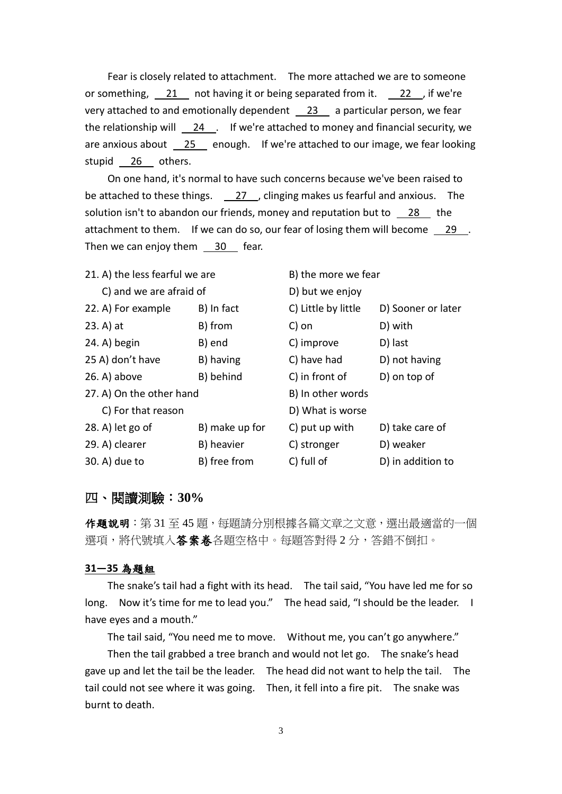Fear is closely related to attachment. The more attached we are to someone or something,  $21$  not having it or being separated from it.  $22$ , if we're very attached to and emotionally dependent  $\_23$  a particular person, we fear the relationship will  $\frac{24}{1}$ . If we're attached to money and financial security, we are anxious about  $\sqrt{25}$  enough. If we're attached to our image, we fear looking stupid 26 others.

On one hand, it's normal to have such concerns because we've been raised to be attached to these things.  $\sqrt{27}$ , clinging makes us fearful and anxious. The solution isn't to abandon our friends, money and reputation but to  $\frac{28}{100}$  the attachment to them. If we can do so, our fear of losing them will become  $\frac{29}{2}$ . Then we can enjoy them  $\frac{30}{5}$  fear.

| 21. A) the less fearful we are |                | B) the more we fear |                    |  |
|--------------------------------|----------------|---------------------|--------------------|--|
| C) and we are afraid of        |                | D) but we enjoy     |                    |  |
| 22. A) For example             | B) In fact     | C) Little by little | D) Sooner or later |  |
| $23. A)$ at                    | B) from        | C) on               | D) with            |  |
| 24. A) begin                   | B) end         | C) improve          | D) last            |  |
| 25 A) don't have               | B) having      | C) have had         | D) not having      |  |
| $26. A)$ above                 | B) behind      | C) in front of      | D) on top of       |  |
| 27. A) On the other hand       |                | B) In other words   |                    |  |
| C) For that reason             |                | D) What is worse    |                    |  |
| $28. A)$ let go of             | B) make up for | C) put up with      | D) take care of    |  |
| 29. A) clearer                 | B) heavier     | C) stronger         | D) weaker          |  |
| 30. A) due to                  | B) free from   | C) full of          | D) in addition to  |  |

#### 四、閱讀測驗:**30%**

作題說明:第 31 至 45 題, 每題請分別根據各篇文章之文意, 選出最適當的一個 選項,將代號填入**答案卷**各題空格中。每題答對得 2 分,答錯不倒扣。

#### **31—35** 為題組

The snake's tail had a fight with its head. The tail said, "You have led me for so long. Now it's time for me to lead you." The head said, "I should be the leader. I have eyes and a mouth."

The tail said, "You need me to move. Without me, you can't go anywhere."

Then the tail grabbed a tree branch and would not let go. The snake's head gave up and let the tail be the leader. The head did not want to help the tail. The tail could not see where it was going. Then, it fell into a fire pit. The snake was burnt to death.

3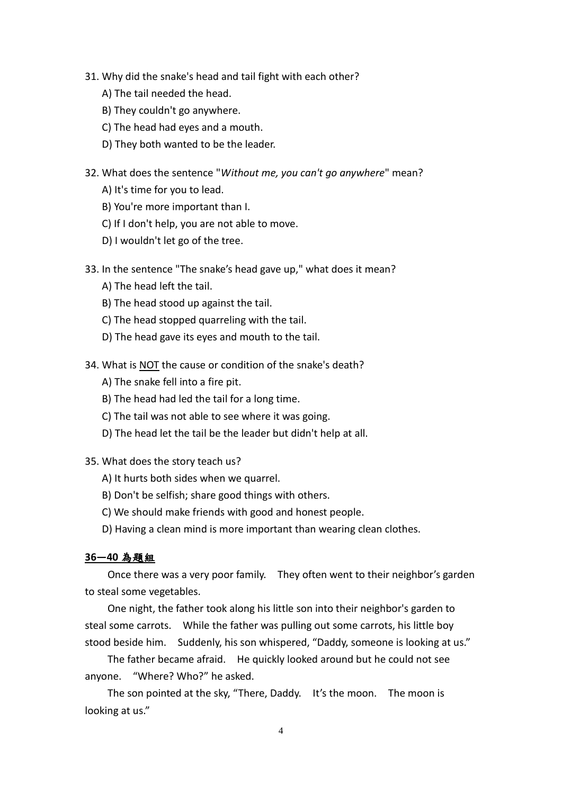- 31. Why did the snake's head and tail fight with each other?
	- A) The tail needed the head.
	- B) They couldn't go anywhere.
	- C) The head had eyes and a mouth.
	- D) They both wanted to be the leader.
- 32. What does the sentence "*Without me, you can't go anywhere*" mean?
	- A) It's time for you to lead.
	- B) You're more important than I.
	- C) If I don't help, you are not able to move.
	- D) I wouldn't let go of the tree.
- 33. In the sentence "The snake's head gave up," what does it mean?
	- A) The head left the tail.
	- B) The head stood up against the tail.
	- C) The head stopped quarreling with the tail.
	- D) The head gave its eyes and mouth to the tail.
- 34. What is NOT the cause or condition of the snake's death?
	- A) The snake fell into a fire pit.
	- B) The head had led the tail for a long time.
	- C) The tail was not able to see where it was going.
	- D) The head let the tail be the leader but didn't help at all.

35. What does the story teach us?

- A) It hurts both sides when we quarrel.
- B) Don't be selfish; share good things with others.
- C) We should make friends with good and honest people.
- D) Having a clean mind is more important than wearing clean clothes.

#### **36—40** 為題組

Once there was a very poor family. They often went to their neighbor's garden to steal some vegetables.

One night, the father took along his little son into their neighbor's garden to steal some carrots. While the father was pulling out some carrots, his little boy stood beside him. Suddenly, his son whispered, "Daddy, someone is looking at us."

The father became afraid. He quickly looked around but he could not see anyone. "Where? Who?" he asked.

The son pointed at the sky, "There, Daddy. It's the moon. The moon is looking at us."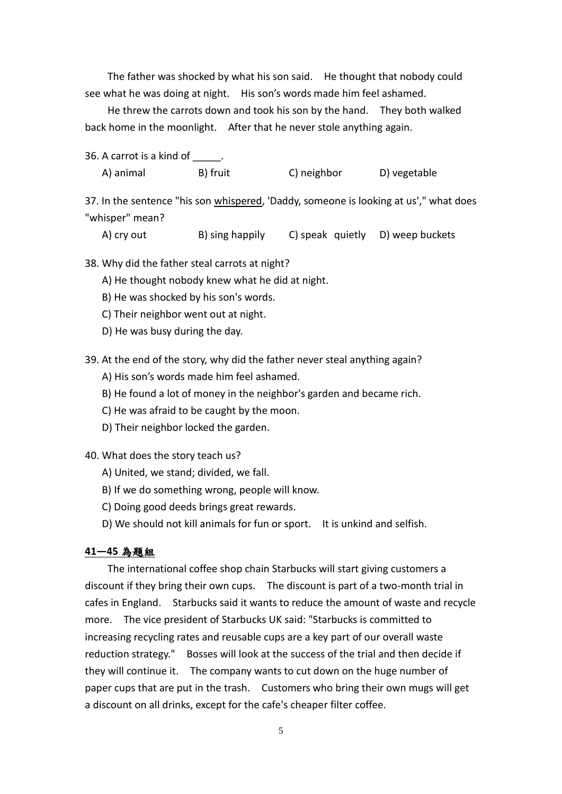The father was shocked by what his son said. He thought that nobody could see what he was doing at night. His son's words made him feel ashamed.

He threw the carrots down and took his son by the hand. They both walked back home in the moonlight. After that he never stole anything again.

36. A carrot is a kind of \_\_\_\_\_.

A) animal B) fruit C) neighbor D) vegetable

37. In the sentence "his son whispered, 'Daddy, someone is looking at us'," what does "whisper" mean?

A) cry out B) sing happily C) speak quietly D) weep buckets

38. Why did the father steal carrots at night?

A) He thought nobody knew what he did at night.

- B) He was shocked by his son's words.
- C) Their neighbor went out at night.
- D) He was busy during the day.

39. At the end of the story, why did the father never steal anything again?

A) His son's words made him feel ashamed.

B) He found a lot of money in the neighbor's garden and became rich.

C) He was afraid to be caught by the moon.

D) Their neighbor locked the garden.

40. What does the story teach us?

- A) United, we stand; divided, we fall.
- B) If we do something wrong, people will know.
- C) Doing good deeds brings great rewards.

D) We should not kill animals for fun or sport. It is unkind and selfish.

#### **41—45** 為題組

The international coffee shop chain Starbucks will start giving customers a discount if they bring their own cups. The discount is part of a two-month trial in cafes in England. Starbucks said it wants to reduce the amount of waste and recycle more. The vice president of Starbucks UK said: "Starbucks is committed to increasing recycling rates and reusable cups are a key part of our overall waste reduction strategy." Bosses will look at the success of the trial and then decide if they will continue it. The company wants to cut down on the huge number of paper cups that are put in the trash. Customers who bring their own mugs will get a discount on all drinks, except for the cafe's cheaper filter coffee.